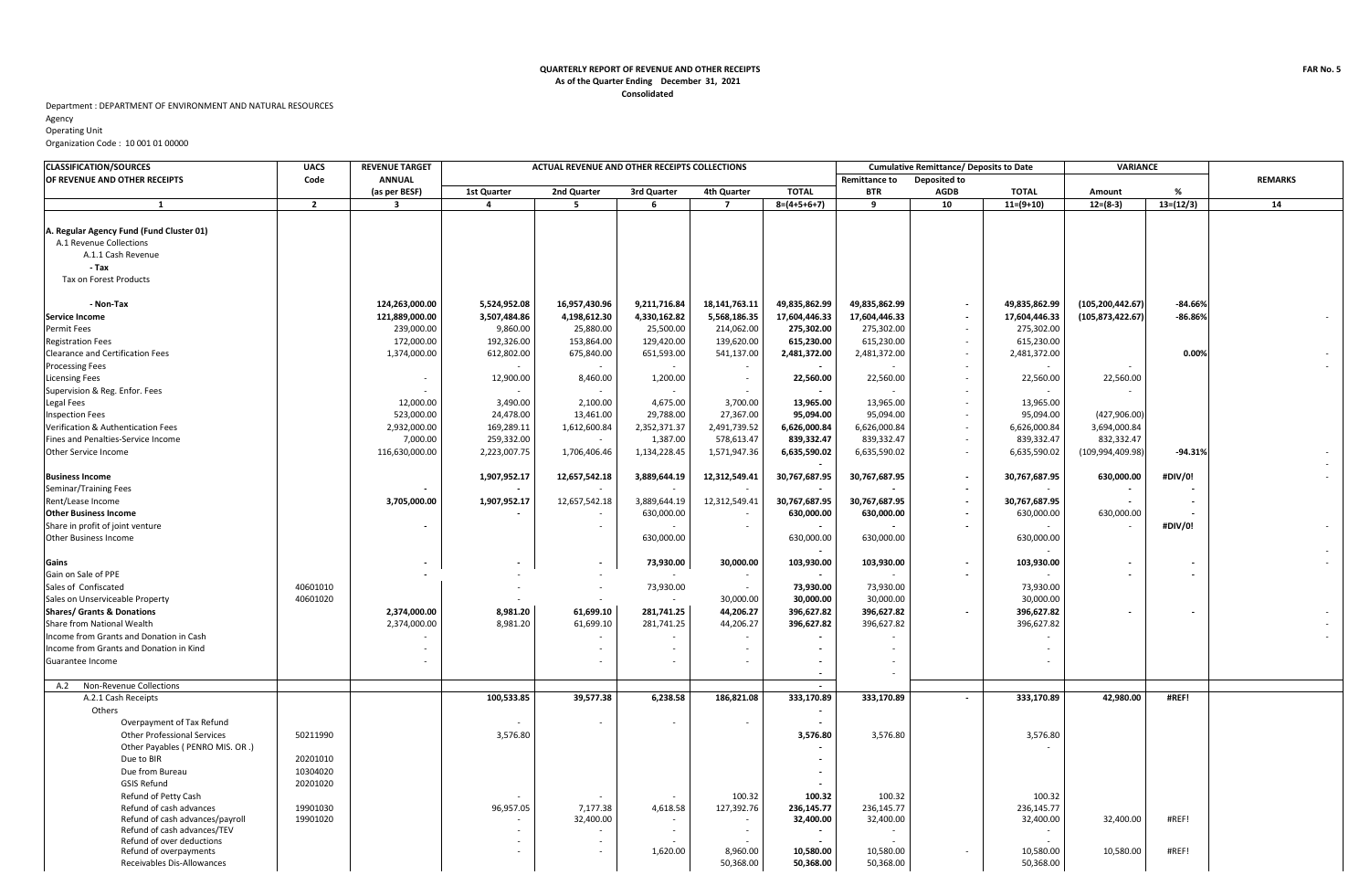## **Consolidated QUARTERLY REPORT OF REVENUE AND OTHER RECEIPTS As of the Quarter Ending December 31, 2021**

## Department : DEPARTMENT OF ENVIRONMENT AND NATURAL RESOURCES

Agency Operating Unit

## Organization Code : 10 001 01 00000

| <b>CLASSIFICATION/SOURCES</b>                                                                                                | <b>UACS</b>    | <b>REVENUE TARGET</b>   | ACTUAL REVENUE AND OTHER RECEIPTS COLLECTIONS |                |              |                |               |                                             | <b>Cumulative Remittance/ Deposits to Date</b> |               |                    | VARIANCE    |                |
|------------------------------------------------------------------------------------------------------------------------------|----------------|-------------------------|-----------------------------------------------|----------------|--------------|----------------|---------------|---------------------------------------------|------------------------------------------------|---------------|--------------------|-------------|----------------|
| OF REVENUE AND OTHER RECEIPTS                                                                                                | Code           | <b>ANNUAL</b>           |                                               |                |              |                |               | <b>Remittance to</b><br><b>Deposited to</b> |                                                |               |                    |             | <b>REMARKS</b> |
|                                                                                                                              |                | (as per BESF)           | 1st Quarter                                   | 2nd Quarter    | 3rd Quarter  | 4th Quarter    | <b>TOTAL</b>  | <b>BTR</b>                                  | <b>AGDB</b>                                    | <b>TOTAL</b>  | Amount             | %           |                |
| 1                                                                                                                            | $\overline{2}$ | $\overline{\mathbf{3}}$ | $\overline{a}$                                | 5              | 6            | $\overline{7}$ | $8=(4+5+6+7)$ | 9                                           | 10                                             | $11=(9+10)$   | $12=(8-3)$         | $13=(12/3)$ | 14             |
| A. Regular Agency Fund (Fund Cluster 01)<br>A.1 Revenue Collections<br>A.1.1 Cash Revenue<br>- Tax<br>Tax on Forest Products |                |                         |                                               |                |              |                |               |                                             |                                                |               |                    |             |                |
| - Non-Tax                                                                                                                    |                | 124,263,000.00          | 5,524,952.08                                  | 16,957,430.96  | 9,211,716.84 | 18,141,763.11  | 49,835,862.99 | 49,835,862.99                               | $\sim$                                         | 49,835,862.99 | (105, 200, 442.67) | $-84.66%$   |                |
| <b>Service Income</b>                                                                                                        |                | 121,889,000.00          | 3,507,484.86                                  | 4,198,612.30   | 4,330,162.82 | 5,568,186.35   | 17,604,446.33 | 17,604,446.33                               | $\sim$                                         | 17,604,446.33 | (105, 873, 422.67) | $-86.86%$   |                |
| <b>Permit Fees</b>                                                                                                           |                | 239,000.00              | 9,860.00                                      | 25,880.00      | 25,500.00    | 214,062.00     | 275,302.00    | 275,302.00                                  |                                                | 275,302.00    |                    |             |                |
| <b>Registration Fees</b>                                                                                                     |                | 172,000.00              | 192,326.00                                    | 153,864.00     | 129,420.00   | 139,620.00     | 615,230.00    | 615,230.00                                  | $\sim$                                         | 615,230.00    |                    |             |                |
| Clearance and Certification Fees                                                                                             |                | 1,374,000.00            | 612,802.00                                    | 675,840.00     | 651,593.00   | 541,137.00     | 2,481,372.00  | 2,481,372.00                                | $\sim$                                         | 2,481,372.00  |                    | 0.00%       |                |
| <b>Processing Fees</b>                                                                                                       |                |                         | $\overline{\phantom{a}}$                      |                | $\sim$       |                |               |                                             | $\sim$                                         |               |                    |             |                |
| <b>Licensing Fees</b>                                                                                                        |                |                         | 12,900.00                                     | 8,460.00       | 1,200.00     |                | 22,560.00     | 22,560.00                                   |                                                | 22,560.00     | 22,560.00          |             |                |
| Supervision & Reg. Enfor. Fees                                                                                               |                |                         |                                               |                |              |                |               |                                             |                                                |               |                    |             |                |
| Legal Fees                                                                                                                   |                | 12,000.00               | 3,490.00                                      | 2,100.00       | 4,675.00     | 3,700.00       | 13,965.00     | 13,965.00                                   | $\sim$                                         | 13,965.00     |                    |             |                |
| <b>Inspection Fees</b>                                                                                                       |                | 523,000.00              | 24,478.00                                     | 13,461.00      | 29,788.00    | 27,367.00      | 95,094.00     | 95,094.00                                   | $\sim$                                         | 95,094.00     | (427, 906.00)      |             |                |
| Verification & Authentication Fees                                                                                           |                | 2,932,000.00            | 169,289.11                                    | 1,612,600.84   | 2,352,371.37 | 2,491,739.52   | 6,626,000.84  | 6,626,000.84                                | $\sim$                                         | 6,626,000.84  | 3,694,000.84       |             |                |
| Fines and Penalties-Service Income                                                                                           |                | 7,000.00                | 259,332.00                                    |                | 1,387.00     | 578,613.47     | 839,332.47    | 839,332.47                                  |                                                | 839,332.47    | 832,332.47         |             |                |
| Other Service Income                                                                                                         |                | 116,630,000.00          | 2,223,007.75                                  | 1,706,406.46   | 1,134,228.45 | 1,571,947.36   | 6,635,590.02  | 6,635,590.02                                | $\sim$                                         | 6,635,590.02  | (109, 994, 409.98) | $-94.31%$   |                |
| <b>Business Income</b>                                                                                                       |                |                         | 1,907,952.17                                  | 12,657,542.18  | 3,889,644.19 | 12,312,549.41  | 30,767,687.95 | 30,767,687.95                               | $\sim$                                         | 30,767,687.95 | 630,000.00         | #DIV/0!     |                |
| Seminar/Training Fees                                                                                                        |                |                         |                                               |                |              |                |               |                                             | $\sim$                                         |               |                    |             |                |
| Rent/Lease Income                                                                                                            |                | 3,705,000.00            | 1,907,952.17                                  | 12,657,542.18  | 3,889,644.19 | 12,312,549.41  | 30,767,687.95 | 30,767,687.95                               |                                                | 30,767,687.95 |                    |             |                |
| <b>Other Business Income</b>                                                                                                 |                |                         |                                               |                | 630,000.00   |                | 630,000.00    | 630,000.00                                  |                                                | 630,000.00    | 630,000.00         |             |                |
| Share in profit of joint venture                                                                                             |                |                         |                                               |                |              |                |               |                                             | $\sim$                                         |               |                    | #DIV/0!     |                |
| <b>Other Business Income</b>                                                                                                 |                |                         |                                               |                | 630,000.00   |                | 630,000.00    | 630,000.00                                  |                                                | 630,000.00    |                    |             |                |
|                                                                                                                              |                |                         |                                               |                |              |                |               |                                             |                                                |               |                    |             |                |
| Gains                                                                                                                        |                |                         | $\overline{\phantom{a}}$                      | $\blacksquare$ | 73,930.00    | 30,000.00      | 103,930.00    | 103,930.00                                  |                                                | 103,930.00    |                    |             |                |
| Gain on Sale of PPE                                                                                                          |                |                         |                                               |                |              |                |               |                                             |                                                |               |                    |             |                |
| Sales of Confiscated                                                                                                         | 40601010       |                         |                                               | $\sim$         | 73,930.00    | $\sim$         | 73,930.00     | 73,930.00                                   |                                                | 73,930.00     |                    |             |                |
| Sales on Unserviceable Property                                                                                              | 40601020       |                         |                                               |                |              | 30,000.00      | 30,000.00     | 30,000.00                                   |                                                | 30,000.00     |                    |             |                |
| <b>Shares/ Grants &amp; Donations</b>                                                                                        |                | 2,374,000.00            | 8,981.20                                      | 61,699.10      | 281,741.25   | 44,206.27      | 396,627.82    | 396,627.82                                  |                                                | 396,627.82    |                    |             |                |
| Share from National Wealth                                                                                                   |                | 2,374,000.00            | 8,981.20                                      | 61,699.10      | 281,741.25   | 44,206.27      | 396,627.82    | 396,627.82                                  |                                                | 396,627.82    |                    |             |                |
| Income from Grants and Donation in Cash                                                                                      |                |                         |                                               |                |              |                |               |                                             |                                                |               |                    |             |                |
| Income from Grants and Donation in Kind                                                                                      |                |                         |                                               |                |              |                |               |                                             |                                                |               |                    |             |                |
| Guarantee Income                                                                                                             |                |                         |                                               |                |              |                |               |                                             |                                                |               |                    |             |                |
| A.2 Non-Revenue Collections                                                                                                  |                |                         |                                               |                |              |                |               |                                             |                                                |               |                    |             |                |
| A.2.1 Cash Receipts                                                                                                          |                |                         | 100,533.85                                    | 39,577.38      | 6,238.58     | 186,821.08     | 333,170.89    | 333,170.89                                  | $\sim$                                         | 333,170.89    | 42,980.00          | #REF!       |                |
| Others                                                                                                                       |                |                         |                                               |                |              |                | $\sim$        |                                             |                                                |               |                    |             |                |
| Overpayment of Tax Refund                                                                                                    |                |                         |                                               |                |              |                |               |                                             |                                                |               |                    |             |                |
| <b>Other Professional Services</b>                                                                                           | 50211990       |                         | 3,576.80                                      |                |              |                | 3,576.80      | 3,576.80                                    |                                                | 3,576.80      |                    |             |                |
| Other Payables ( PENRO MIS. OR.)                                                                                             |                |                         |                                               |                |              |                |               |                                             |                                                |               |                    |             |                |
| Due to BIR                                                                                                                   | 20201010       |                         |                                               |                |              |                |               |                                             |                                                |               |                    |             |                |
| Due from Bureau                                                                                                              | 10304020       |                         |                                               |                |              |                |               |                                             |                                                |               |                    |             |                |
| <b>GSIS Refund</b>                                                                                                           | 20201020       |                         |                                               |                |              |                |               |                                             |                                                |               |                    |             |                |
| Refund of Petty Cash                                                                                                         |                |                         |                                               |                |              | 100.32         | 100.32        | 100.32                                      |                                                | 100.32        |                    |             |                |
| Refund of cash advances                                                                                                      | 19901030       |                         | 96,957.05                                     | 7,177.38       | 4,618.58     | 127,392.76     | 236,145.77    | 236,145.77                                  |                                                | 236,145.77    |                    |             |                |
| Refund of cash advances/payroll                                                                                              | 19901020       |                         |                                               | 32,400.00      |              |                | 32,400.00     | 32,400.00                                   |                                                | 32,400.00     | 32,400.00          | #REF!       |                |
| Refund of cash advances/TEV                                                                                                  |                |                         |                                               |                |              |                |               |                                             |                                                |               |                    |             |                |
| Refund of over deductions                                                                                                    |                |                         |                                               |                | 1,620.00     | 8,960.00       | 10,580.00     | 10,580.00                                   | $\sim$                                         | 10,580.00     | 10,580.00          | #REF!       |                |
| Refund of overpayments<br>Receivables Dis-Allowances                                                                         |                |                         |                                               |                |              | 50,368.00      | 50,368.00     | 50,368.00                                   |                                                | 50,368.00     |                    |             |                |
|                                                                                                                              |                |                         |                                               |                |              |                |               |                                             |                                                |               |                    |             |                |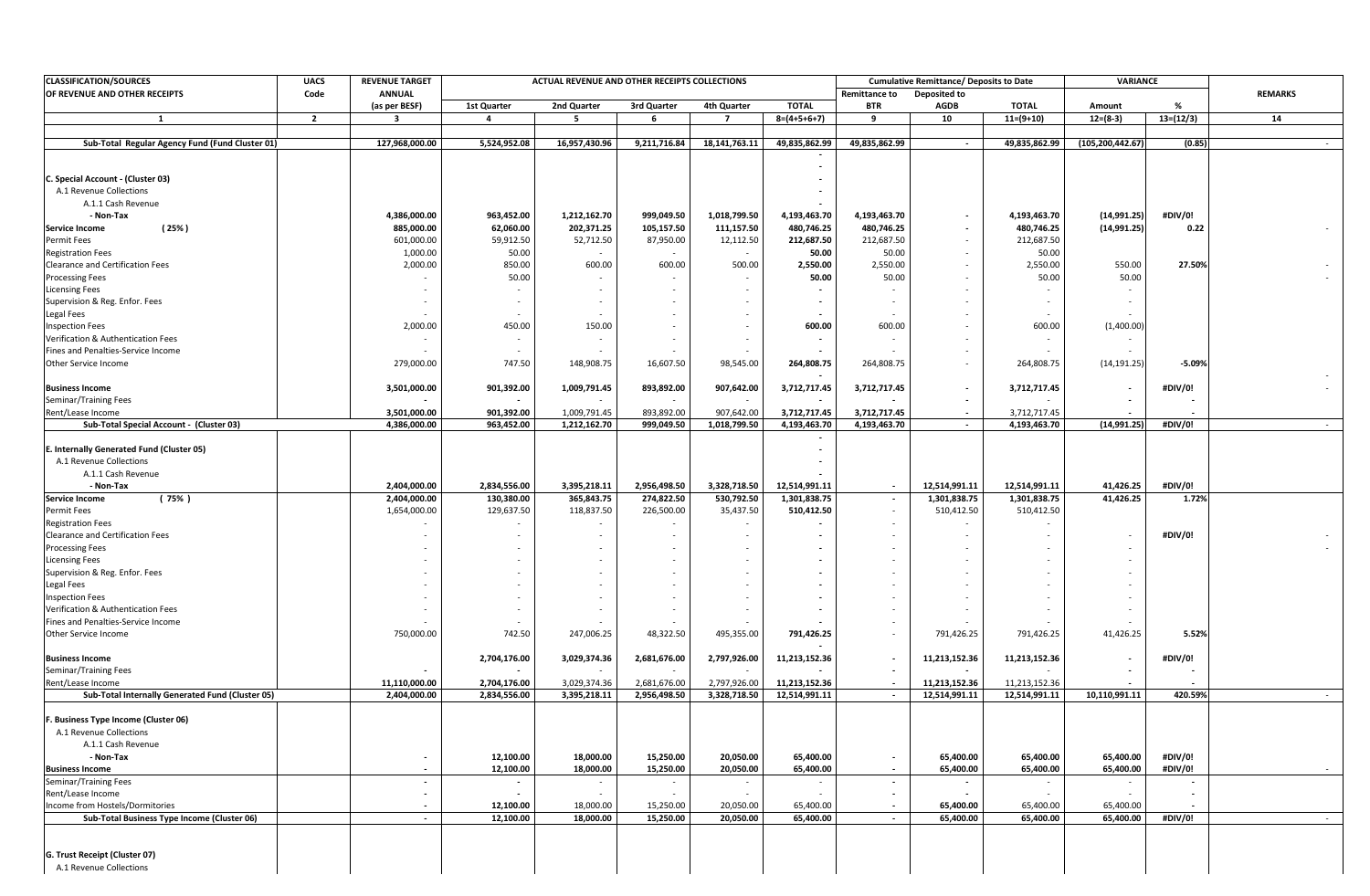| <b>CLASSIFICATION/SOURCES</b>                                        | <b>UACS</b>    | <b>REVENUE TARGET</b>  |                          | ACTUAL REVENUE AND OTHER RECEIPTS COLLECTIONS |                          |                        |                        |                          | <b>Cumulative Remittance/ Deposits to Date</b><br>VARIANCE |                        |                        |                          |                 |
|----------------------------------------------------------------------|----------------|------------------------|--------------------------|-----------------------------------------------|--------------------------|------------------------|------------------------|--------------------------|------------------------------------------------------------|------------------------|------------------------|--------------------------|-----------------|
| OF REVENUE AND OTHER RECEIPTS                                        | Code           | <b>ANNUAL</b>          |                          |                                               |                          |                        |                        | <b>Remittance to</b>     | Deposited to                                               |                        |                        |                          | <b>REMARKS</b>  |
|                                                                      |                | (as per BESF)          | 1st Quarter              | 2nd Quarter                                   | 3rd Quarter              | 4th Quarter            | <b>TOTAL</b>           | <b>BTR</b>               | AGDB                                                       | <b>TOTAL</b>           | Amount                 | %                        |                 |
|                                                                      | $\overline{2}$ |                        | -4                       | -5                                            | 6                        | 7                      | $8=(4+5+6+7)$          | q                        | 10                                                         | $11=(9+10)$            | $12=(8-3)$             | $13=(12/3)$              | 14              |
| Sub-Total Regular Agency Fund (Fund Cluster 01)                      |                | 127,968,000.00         | 5,524,952.08             | 16,957,430.96                                 | 9,211,716.84             | 18,141,763.11          | 49,835,862.99          | 49,835,862.99            | $\sim$                                                     | 49,835,862.99          | (105, 200, 442.67)     | (0.85)                   |                 |
|                                                                      |                |                        |                          |                                               |                          |                        |                        |                          |                                                            |                        |                        |                          |                 |
|                                                                      |                |                        |                          |                                               |                          |                        | $\sim$                 |                          |                                                            |                        |                        |                          |                 |
| C. Special Account - (Cluster 03)                                    |                |                        |                          |                                               |                          |                        |                        |                          |                                                            |                        |                        |                          |                 |
| A.1 Revenue Collections                                              |                |                        |                          |                                               |                          |                        |                        |                          |                                                            |                        |                        |                          |                 |
| A.1.1 Cash Revenue                                                   |                |                        |                          |                                               |                          |                        |                        |                          |                                                            |                        |                        |                          |                 |
| - Non-Tax                                                            |                | 4,386,000.00           | 963,452.00               | 1,212,162.70                                  | 999,049.50               | 1,018,799.50           | 4,193,463.70           | 4,193,463.70             |                                                            | 4,193,463.70           | (14,991.25)            | #DIV/0!                  |                 |
| (25%)<br><b>Service Income</b>                                       |                | 885,000.00             | 62,060.00                | 202,371.25                                    | 105,157.50               | 111,157.50             | 480,746.25             | 480,746.25               |                                                            | 480,746.25             | (14, 991.25)           | 0.22                     |                 |
| <b>Permit Fees</b>                                                   |                | 601,000.00<br>1,000.00 | 59,912.50<br>50.00       | 52,712.50                                     | 87,950.00                | 12,112.50              | 212,687.50<br>50.00    | 212,687.50<br>50.00      |                                                            | 212,687.50<br>50.00    |                        |                          |                 |
| <b>Registration Fees</b><br>Clearance and Certification Fees         |                | 2,000.00               | 850.00                   | 600.00                                        | 600.00                   | 500.00                 | 2,550.00               | 2,550.00                 |                                                            | 2,550.00               | 550.00                 | 27.50%                   |                 |
| <b>Processing Fees</b>                                               |                |                        | 50.00                    |                                               |                          |                        | 50.00                  | 50.00                    |                                                            | 50.00                  | 50.00                  |                          |                 |
| <b>Licensing Fees</b>                                                |                |                        |                          |                                               | $\overline{\phantom{a}}$ |                        |                        |                          |                                                            |                        |                        |                          |                 |
| Supervision & Reg. Enfor. Fees                                       |                |                        | $\overline{\phantom{a}}$ |                                               |                          |                        |                        |                          |                                                            |                        |                        |                          |                 |
| Legal Fees                                                           |                |                        |                          |                                               |                          |                        |                        |                          |                                                            |                        |                        |                          |                 |
| <b>Inspection Fees</b>                                               |                | 2,000.00               | 450.00                   | 150.00                                        |                          |                        | 600.00                 | 600.00                   |                                                            | 600.00                 | (1,400.00)             |                          |                 |
| Verification & Authentication Fees                                   |                |                        |                          |                                               |                          |                        |                        |                          |                                                            |                        |                        |                          |                 |
| Fines and Penalties-Service Income                                   |                |                        |                          |                                               |                          |                        |                        |                          |                                                            |                        |                        |                          |                 |
| Other Service Income                                                 |                | 279,000.00             | 747.50                   | 148,908.75                                    | 16,607.50                | 98,545.00              | 264,808.75             | 264,808.75               |                                                            | 264,808.75             | (14, 191.25)           | $-5.09%$                 |                 |
|                                                                      |                |                        |                          |                                               |                          |                        |                        |                          |                                                            |                        |                        |                          |                 |
| <b>Business Income</b>                                               |                | 3,501,000.00           | 901,392.00               | 1,009,791.45                                  | 893,892.00               | 907,642.00             | 3,712,717.45           | 3,712,717.45             | $\overline{\phantom{a}}$                                   | 3,712,717.45           |                        | #DIV/0!                  |                 |
| Seminar/Training Fees                                                |                |                        |                          |                                               |                          |                        |                        |                          |                                                            |                        |                        |                          |                 |
| Rent/Lease Income                                                    |                | 3,501,000.00           | 901,392.00               | 1,009,791.45                                  | 893,892.00               | 907,642.00             | 3,712,717.45           | 3,712,717.45             |                                                            | 3,712,717.45           |                        |                          |                 |
| Sub-Total Special Account - (Cluster 03)                             |                | 4,386,000.00           | 963,452.00               | 1,212,162.70                                  | 999,049.50               | 1,018,799.50           | 4,193,463.70           | 4,193,463.70             | $\sim$                                                     | 4,193,463.70           | (14,991.25)            | #DIV/0!                  |                 |
|                                                                      |                |                        |                          |                                               |                          |                        |                        |                          |                                                            |                        |                        |                          |                 |
| E. Internally Generated Fund (Cluster 05)<br>A.1 Revenue Collections |                |                        |                          |                                               |                          |                        |                        |                          |                                                            |                        |                        |                          |                 |
| A.1.1 Cash Revenue                                                   |                |                        |                          |                                               |                          |                        |                        |                          |                                                            |                        |                        |                          |                 |
| - Non-Tax                                                            |                | 2,404,000.00           | 2,834,556.00             | 3,395,218.11                                  | 2,956,498.50             | 3,328,718.50           | 12.514.991.11          | $\overline{\phantom{a}}$ | 12,514,991.11                                              | 12,514,991.11          | 41,426.25              | #DIV/0!                  |                 |
| <b>Service Income</b><br>(75% )                                      |                | 2,404,000.00           | 130,380.00               | 365,843.75                                    | 274,822.50               | 530,792.50             | 1,301,838.75           | $\overline{\phantom{a}}$ | 1,301,838.75                                               | 1,301,838.75           | 41,426.25              | 1.72%                    |                 |
| <b>Permit Fees</b>                                                   |                | 1,654,000.00           | 129,637.50               | 118,837.50                                    | 226,500.00               | 35,437.50              | 510,412.50             | $\sim$                   | 510,412.50                                                 | 510,412.50             |                        |                          |                 |
| <b>Registration Fees</b>                                             |                |                        |                          |                                               |                          |                        |                        |                          |                                                            |                        |                        |                          |                 |
| Clearance and Certification Fees                                     |                |                        |                          |                                               | $\overline{\phantom{a}}$ |                        |                        |                          |                                                            |                        |                        | #DIV/0!                  |                 |
| <b>Processing Fees</b>                                               |                |                        |                          |                                               |                          |                        |                        |                          |                                                            |                        |                        |                          |                 |
| <b>Licensing Fees</b>                                                |                |                        |                          |                                               |                          |                        |                        |                          |                                                            | $\sim$                 |                        |                          |                 |
| Supervision & Reg. Enfor. Fees                                       |                |                        |                          |                                               |                          |                        |                        |                          |                                                            |                        |                        |                          |                 |
| Legal Fees                                                           |                |                        |                          |                                               |                          |                        |                        |                          |                                                            |                        |                        |                          |                 |
| <b>Inspection Fees</b>                                               |                |                        |                          |                                               |                          |                        |                        |                          |                                                            |                        |                        |                          |                 |
| Verification & Authentication Fees                                   |                |                        |                          |                                               |                          |                        |                        |                          |                                                            |                        |                        |                          |                 |
| Fines and Penalties-Service Income                                   |                |                        |                          |                                               |                          |                        |                        |                          |                                                            |                        |                        |                          |                 |
| Other Service Income                                                 |                | 750,000.00             | 742.50                   | 247,006.25                                    | 48,322.50                | 495,355.00             | 791,426.25             | $\overline{\phantom{a}}$ | 791,426.25                                                 | 791,426.25             | 41,426.25              | 5.52%                    |                 |
| <b>Business Income</b>                                               |                |                        | 2,704,176.00             | 3,029,374.36                                  | 2,681,676.00             | 2,797,926.00           | 11,213,152.36          |                          | 11,213,152.36                                              | 11,213,152.36          |                        | #DIV/0!                  |                 |
| Seminar/Training Fees                                                |                |                        |                          |                                               |                          |                        |                        | $\sim$                   |                                                            |                        |                        | $\overline{\phantom{a}}$ |                 |
| Rent/Lease Income                                                    |                | 11,110,000.00          | 2,704,176.00             | 3,029,374.36                                  | 2,681,676.00             | 2,797,926.00           | 11,213,152.36          |                          | 11,213,152.36                                              | 11,213,152.36          |                        |                          |                 |
| Sub-Total Internally Generated Fund (Cluster 05)                     |                | 2,404,000.00           | 2,834,556.00             | 3,395,218.11                                  | 2,956,498.50             | 3,328,718.50           | 12,514,991.11          | $\sim$                   | 12,514,991.11                                              | 12,514,991.11          | 10,110,991.11          | 420.59%                  | $\sim$          |
|                                                                      |                |                        |                          |                                               |                          |                        |                        |                          |                                                            |                        |                        |                          |                 |
| F. Business Type Income (Cluster 06)                                 |                |                        |                          |                                               |                          |                        |                        |                          |                                                            |                        |                        |                          |                 |
| A.1 Revenue Collections                                              |                |                        |                          |                                               |                          |                        |                        |                          |                                                            |                        |                        |                          |                 |
| A.1.1 Cash Revenue                                                   |                |                        |                          |                                               |                          |                        |                        |                          |                                                            |                        |                        |                          |                 |
| - Non-Tax                                                            |                | $\sim$                 | 12,100.00                | 18,000.00                                     | 15,250.00                | 20,050.00              | 65,400.00              | $\blacksquare$           | 65,400.00                                                  | 65,400.00              | 65,400.00              | #DIV/0!                  |                 |
| <b>Business Income</b>                                               |                |                        | 12,100.00                | 18,000.00                                     | 15,250.00                | 20,050.00              | 65,400.00              | $\overline{a}$           | 65,400.00                                                  | 65,400.00              | 65,400.00              | #DIV/0!                  |                 |
| Seminar/Training Fees                                                |                | $\sim$                 | $\overline{\phantom{a}}$ | ٠                                             | $\sim$                   |                        |                        | $\overline{\phantom{a}}$ |                                                            |                        |                        | $\sim$                   |                 |
| Rent/Lease Income                                                    |                | $\sim$                 | $\blacksquare$           | $\sim$                                        | $\sim$                   | $\sim$                 |                        | $\overline{\phantom{a}}$ | $\blacksquare$                                             |                        |                        | $\sim$                   |                 |
| Income from Hostels/Dormitories                                      |                | $\sim$<br>$\sim$       | 12,100.00<br>12,100.00   | 18,000.00<br>18,000.00                        | 15,250.00<br>15,250.00   | 20,050.00<br>20,050.00 | 65,400.00<br>65,400.00 | $\sim$                   | 65,400.00<br>65,400.00                                     | 65,400.00<br>65,400.00 | 65,400.00<br>65,400.00 | #DIV/0!                  | $\sim 10^{-11}$ |
| Sub-Total Business Type Income (Cluster 06)                          |                |                        |                          |                                               |                          |                        |                        | $\sim$                   |                                                            |                        |                        |                          |                 |
|                                                                      |                |                        |                          |                                               |                          |                        |                        |                          |                                                            |                        |                        |                          |                 |
| G. Trust Receipt (Cluster 07)                                        |                |                        |                          |                                               |                          |                        |                        |                          |                                                            |                        |                        |                          |                 |
| A.1 Revenue Collections                                              |                |                        |                          |                                               |                          |                        |                        |                          |                                                            |                        |                        |                          |                 |
|                                                                      |                |                        |                          |                                               |                          |                        |                        |                          |                                                            |                        |                        |                          |                 |